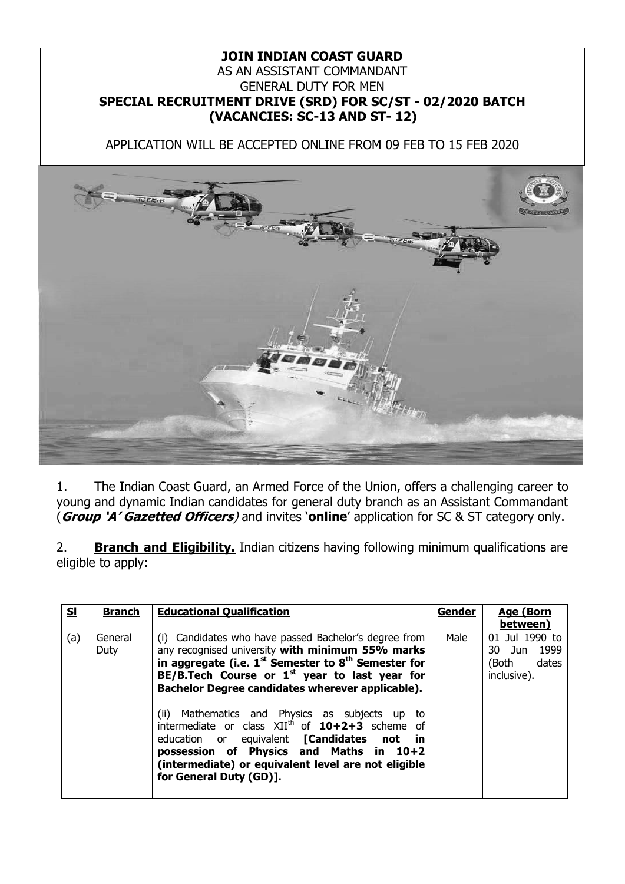## **JOIN INDIAN COAST GUARD** AS AN ASSISTANT COMMANDANT GENERAL DUTY FOR MEN **SPECIAL RECRUITMENT DRIVE (SRD) FOR SC/ST - 02/2020 BATCH (VACANCIES: SC-13 AND ST- 12)**

APPLICATION WILL BE ACCEPTED ONLINE FROM 09 FEB TO 15 FEB 2020



1. The Indian Coast Guard, an Armed Force of the Union, offers a challenging career to young and dynamic Indian candidates for general duty branch as an Assistant Commandant (**Group 'A' Gazetted Officers**) and invites '**online**' application for SC & ST category only.

2. **Branch and Eligibility.** Indian citizens having following minimum qualifications are eligible to apply:

| Male<br>(a)<br>General<br>(i) Candidates who have passed Bachelor's degree from<br>any recognised university with minimum 55% marks<br>Duty<br>in aggregate (i.e. $1^{st}$ Semester to $8^{th}$ Semester for<br>(Both<br>BE/B.Tech Course or $1st$ year to last year for<br>inclusive). | <u>sı</u> | <b>Branch</b> | <b>Educational Qualification</b>                 | <b>Gender</b> | <b>Age (Born</b><br>between)           |
|-----------------------------------------------------------------------------------------------------------------------------------------------------------------------------------------------------------------------------------------------------------------------------------------|-----------|---------------|--------------------------------------------------|---------------|----------------------------------------|
| (ii) Mathematics and Physics as subjects up<br>to<br>intermediate or class $XII^{th}$ of $10+2+3$ scheme of<br>education or equivalent [Candidates not in<br>possession of Physics and Maths in 10+2<br>(intermediate) or equivalent level are not eligible<br>for General Duty (GD)].  |           |               | Bachelor Degree candidates wherever applicable). |               | 01 Jul 1990 to<br>30 Jun 1999<br>dates |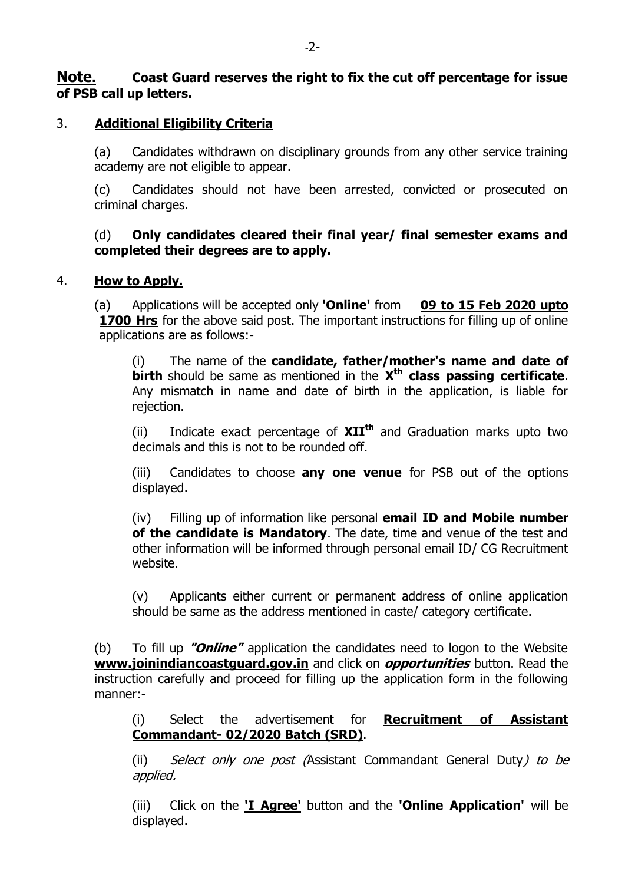## **Note. Coast Guard reserves the right to fix the cut off percentage for issue of PSB call up letters.**

## 3. **Additional Eligibility Criteria**

(a) Candidates withdrawn on disciplinary grounds from any other service training academy are not eligible to appear.

(c) Candidates should not have been arrested, convicted or prosecuted on criminal charges.

#### (d) **Only candidates cleared their final year/ final semester exams and completed their degrees are to apply.**

#### 4. **How to Apply.**

(a) Applications will be accepted only **'Online'** from **09 to 15 Feb 2020 upto 1700 Hrs** for the above said post. The important instructions for filling up of online applications are as follows:-

(i) The name of the **candidate, father/mother's name and date of birth** should be same as mentioned in the **X th class passing certificate**. Any mismatch in name and date of birth in the application, is liable for rejection.

(ii) Indicate exact percentage of **XIIth** and Graduation marks upto two decimals and this is not to be rounded off.

(iii) Candidates to choose **any one venue** for PSB out of the options displayed.

(iv) Filling up of information like personal **email ID and Mobile number of the candidate is Mandatory**. The date, time and venue of the test and other information will be informed through personal email ID/ CG Recruitment website.

(v) Applicants either current or permanent address of online application should be same as the address mentioned in caste/ category certificate.

(b) To fill up **"Online"** application the candidates need to logon to the Website **[www.joinindiancoastguard.gov.in](http://www.joinindiancoastguard.gov.in/)** and click on **opportunities** button. Read the instruction carefully and proceed for filling up the application form in the following manner:-

(i) Select the advertisement for **Recruitment of Assistant Commandant- 02/2020 Batch (SRD)**.

(ii) Select only one post (Assistant Commandant General Duty) to be applied.

(iii) Click on the **'I Agree'** button and the **'Online Application'** will be displayed.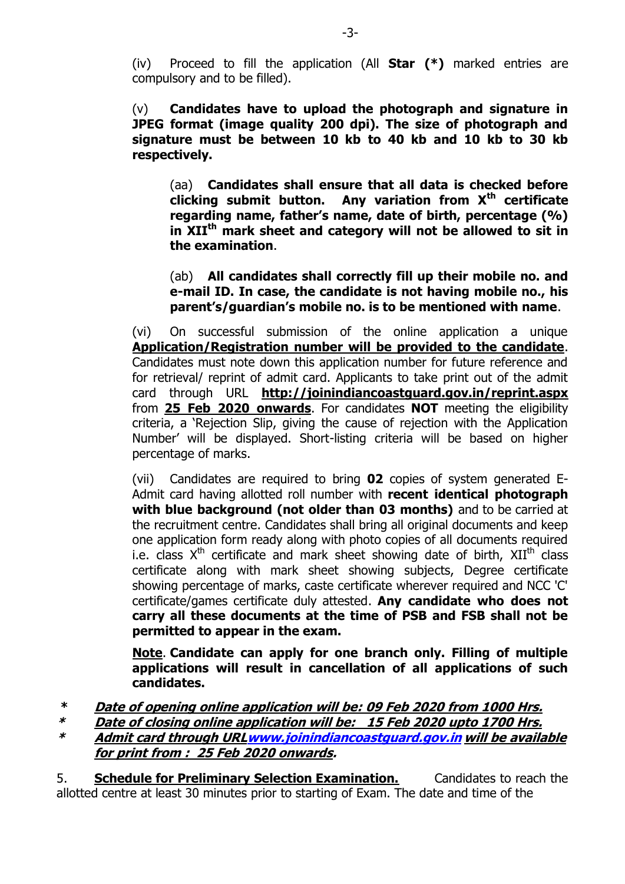(iv) Proceed to fill the application (All **Star (\*)** marked entries are compulsory and to be filled).

(v) **Candidates have to upload the photograph and signature in JPEG format (image quality 200 dpi). The size of photograph and signature must be between 10 kb to 40 kb and 10 kb to 30 kb respectively.**

(aa) **Candidates shall ensure that all data is checked before clicking submit button. Any variation from Xth certificate regarding name, father's name, date of birth, percentage (%) in XIIth mark sheet and category will not be allowed to sit in the examination**.

(ab) **All candidates shall correctly fill up their mobile no. and e-mail ID. In case, the candidate is not having mobile no., his parent's/guardian's mobile no. is to be mentioned with name**.

(vi) On successful submission of the online application a unique **Application/Registration number will be provided to the candidate**. Candidates must note down this application number for future reference and for retrieval/ reprint of admit card. Applicants to take print out of the admit card through URL **<http://joinindiancoastguard.gov.in/reprint.aspx>** from **25 Feb 2020 onwards**. For candidates **NOT** meeting the eligibility criteria, a 'Rejection Slip, giving the cause of rejection with the Application Number' will be displayed. Short-listing criteria will be based on higher percentage of marks.

(vii) Candidates are required to bring **02** copies of system generated E-Admit card having allotted roll number with **recent identical photograph with blue background (not older than 03 months)** and to be carried at the recruitment centre. Candidates shall bring all original documents and keep one application form ready along with photo copies of all documents required i.e. class  $X^{th}$  certificate and mark sheet showing date of birth,  $XII^{th}$  class certificate along with mark sheet showing subjects, Degree certificate showing percentage of marks, caste certificate wherever required and NCC 'C' certificate/games certificate duly attested. **Any candidate who does not carry all these documents at the time of PSB and FSB shall not be permitted to appear in the exam.**

**Note**. **Candidate can apply for one branch only. Filling of multiple applications will result in cancellation of all applications of such candidates.**

**\* Date of opening online application will be: 09 Feb 2020 from 1000 Hrs.** 

**\* Date of closing online application will be: 15 Feb 2020 upto 1700 Hrs.**

**\* Admit card through UR[Lwww.joinindiancoastguard.gov.in](http://www.joinindiancoastguard.gov.in/) will be available for print from : 25 Feb 2020 onwards.**

5. **Schedule for Preliminary Selection Examination.** Candidates to reach the allotted centre at least 30 minutes prior to starting of Exam. The date and time of the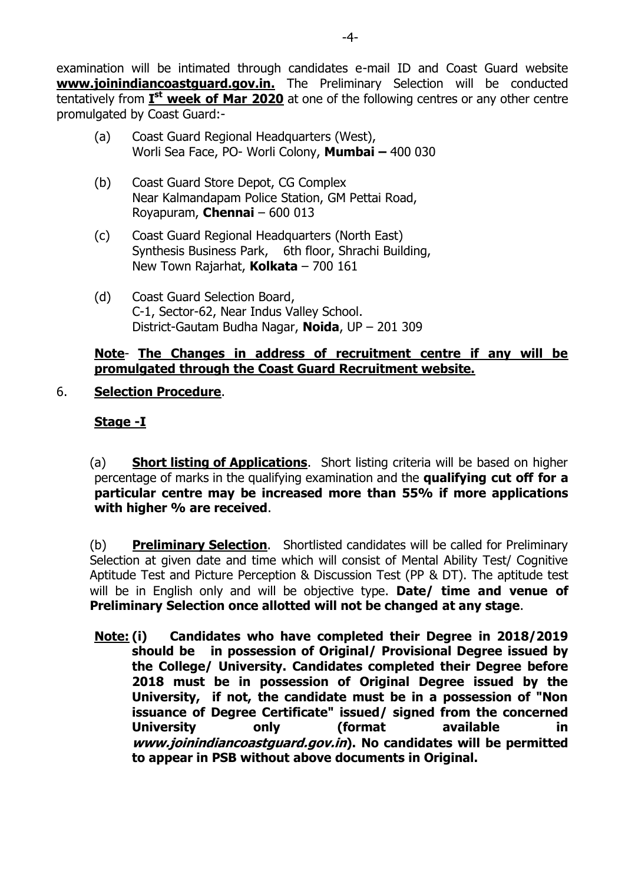examination will be intimated through candidates e-mail ID and Coast Guard website **[www.joinindiancoastguard.gov.in.](http://www.joinindiancoastguard.gov.in/)** The Preliminary Selection will be conducted tentatively from **I st week of Mar 2020** at one of the following centres or any other centre promulgated by Coast Guard:-

- (a) Coast Guard Regional Headquarters (West), Worli Sea Face, PO- Worli Colony, **Mumbai –** 400 030
- (b) Coast Guard Store Depot, CG Complex Near Kalmandapam Police Station, GM Pettai Road, Royapuram, **Chennai** – 600 013
- (c) Coast Guard Regional Headquarters (North East) Synthesis Business Park, 6th floor, Shrachi Building, New Town Rajarhat, **Kolkata** – 700 161
- (d) Coast Guard Selection Board, C-1, Sector-62, Near Indus Valley School. District-Gautam Budha Nagar, **Noida**, UP – 201 309

## **Note**- **The Changes in address of recruitment centre if any will be promulgated through the Coast Guard Recruitment website.**

# 6. **Selection Procedure**.

# **Stage -I**

(a) **Short listing of Applications**. Short listing criteria will be based on higher percentage of marks in the qualifying examination and the **qualifying cut off for a particular centre may be increased more than 55% if more applications with higher % are received**.

(b) **Preliminary Selection**. Shortlisted candidates will be called for Preliminary Selection at given date and time which will consist of Mental Ability Test/ Cognitive Aptitude Test and Picture Perception & Discussion Test (PP & DT). The aptitude test will be in English only and will be objective type. **Date/ time and venue of Preliminary Selection once allotted will not be changed at any stage**.

**Note: (i) Candidates who have completed their Degree in 2018/2019 should be in possession of Original/ Provisional Degree issued by the College/ University. Candidates completed their Degree before 2018 must be in possession of Original Degree issued by the University, if not, the candidate must be in a possession of "Non issuance of Degree Certificate" issued/ signed from the concerned University only (format available in www.joinindiancoastguard.gov.in). No candidates will be permitted to appear in PSB without above documents in Original.**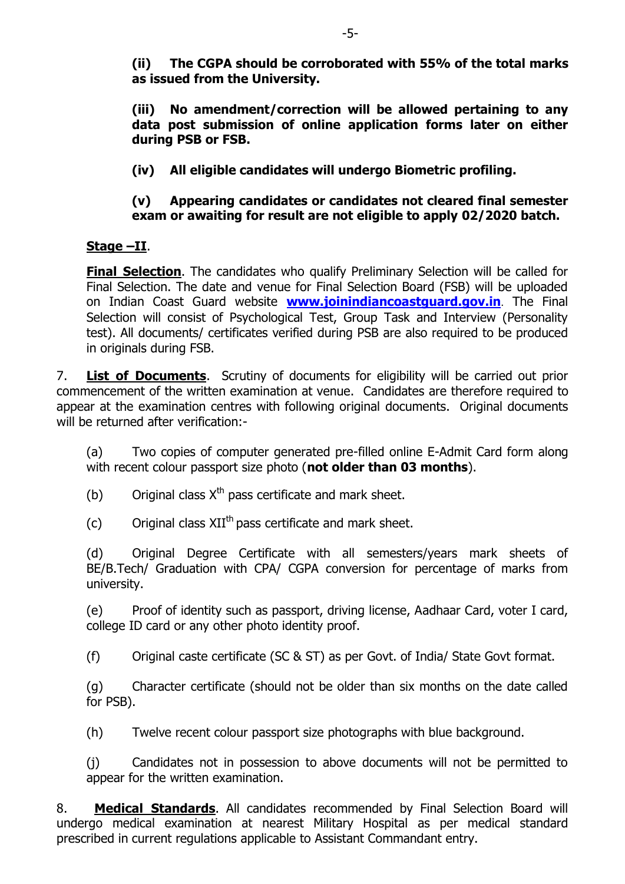**(ii) The CGPA should be corroborated with 55% of the total marks as issued from the University.**

**(iii) No amendment/correction will be allowed pertaining to any data post submission of online application forms later on either during PSB or FSB.**

**(iv) All eligible candidates will undergo Biometric profiling.**

# **(v) Appearing candidates or candidates not cleared final semester exam or awaiting for result are not eligible to apply 02/2020 batch.**

# **Stage –II**.

**Final Selection**. The candidates who qualify Preliminary Selection will be called for Final Selection. The date and venue for Final Selection Board (FSB) will be uploaded on Indian Coast Guard website **[www.joinindiancoastguard.gov.in](http://www.joinindiancoastguard.gov.in/)**. The Final Selection will consist of Psychological Test, Group Task and Interview (Personality test). All documents/ certificates verified during PSB are also required to be produced in originals during FSB.

7. **List of Documents**. Scrutiny of documents for eligibility will be carried out prior commencement of the written examination at venue. Candidates are therefore required to appear at the examination centres with following original documents. Original documents will be returned after verification:-

(a) Two copies of computer generated pre-filled online E-Admit Card form along with recent colour passport size photo (**not older than 03 months**).

(b) Original class  $X^{th}$  pass certificate and mark sheet.

(c) Original class  $XII^{th}$  pass certificate and mark sheet.

(d) Original Degree Certificate with all semesters/years mark sheets of BE/B.Tech/ Graduation with CPA/ CGPA conversion for percentage of marks from university.

(e) Proof of identity such as passport, driving license, Aadhaar Card, voter I card, college ID card or any other photo identity proof.

(f) Original caste certificate (SC & ST) as per Govt. of India/ State Govt format.

(g) Character certificate (should not be older than six months on the date called for PSB).

(h) Twelve recent colour passport size photographs with blue background.

(j) Candidates not in possession to above documents will not be permitted to appear for the written examination.

8. **Medical Standards**. All candidates recommended by Final Selection Board will undergo medical examination at nearest Military Hospital as per medical standard prescribed in current regulations applicable to Assistant Commandant entry.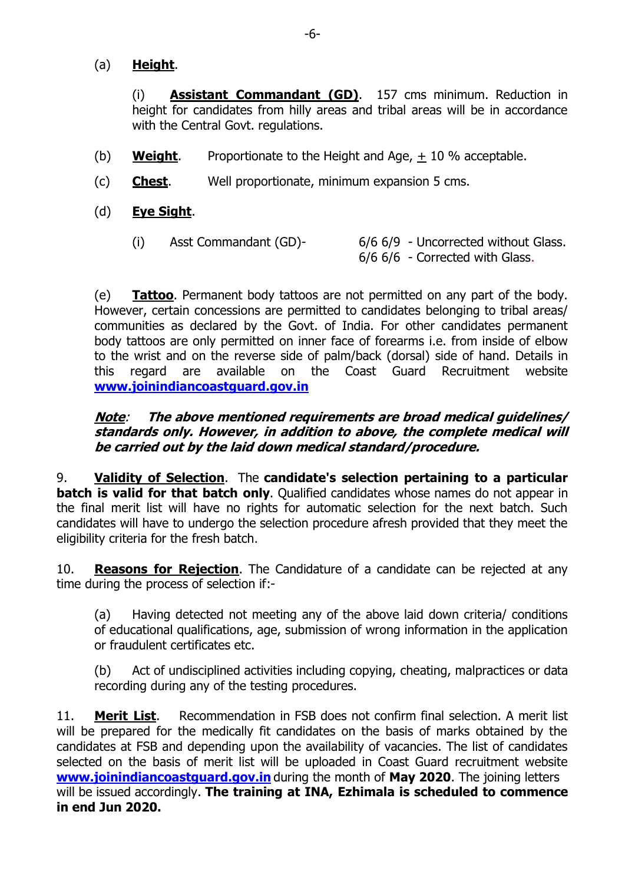## (a) **Height**.

(i) **Assistant Commandant (GD)**. 157 cms minimum. Reduction in height for candidates from hilly areas and tribal areas will be in accordance with the Central Govt. regulations.

- (b) **Weight**. Proportionate to the Height and Age, + 10 % acceptable.
- (c) **Chest**. Well proportionate, minimum expansion 5 cms.
- (d) **Eye Sight**.
	- (i) Asst Commandant (GD)- 6/6 6/9 Uncorrected without Glass. 6/6 6/6 - Corrected with Glass.

(e) **Tattoo**. Permanent body tattoos are not permitted on any part of the body. However, certain concessions are permitted to candidates belonging to tribal areas/ communities as declared by the Govt. of India. For other candidates permanent body tattoos are only permitted on inner face of forearms i.e. from inside of elbow to the wrist and on the reverse side of palm/back (dorsal) side of hand. Details in this regard are available on the Coast Guard Recruitment website **[www.joinindiancoastguard.gov.in](http://www.joinindiancoastguard.gov.in/)**

## **Note**: **The above mentioned requirements are broad medical guidelines/ standards only. However, in addition to above, the complete medical will be carried out by the laid down medical standard/procedure.**

9. **Validity of Selection**. The **candidate's selection pertaining to a particular batch is valid for that batch only.** Qualified candidates whose names do not appear in the final merit list will have no rights for automatic selection for the next batch. Such candidates will have to undergo the selection procedure afresh provided that they meet the eligibility criteria for the fresh batch.

10. **Reasons for Rejection**. The Candidature of a candidate can be rejected at any time during the process of selection if:-

(a) Having detected not meeting any of the above laid down criteria/ conditions of educational qualifications, age, submission of wrong information in the application or fraudulent certificates etc.

(b) Act of undisciplined activities including copying, cheating, malpractices or data recording during any of the testing procedures.

11. **Merit List**. Recommendation in FSB does not confirm final selection. A merit list will be prepared for the medically fit candidates on the basis of marks obtained by the candidates at FSB and depending upon the availability of vacancies. The list of candidates selected on the basis of merit list will be uploaded in Coast Guard recruitment website **[www.joinindiancoastguard.gov.in](http://www.joinindiancoastguard.gov.in/)** during the month of **May 2020**. The joining letters will be issued accordingly. **The training at INA, Ezhimala is scheduled to commence in end Jun 2020.**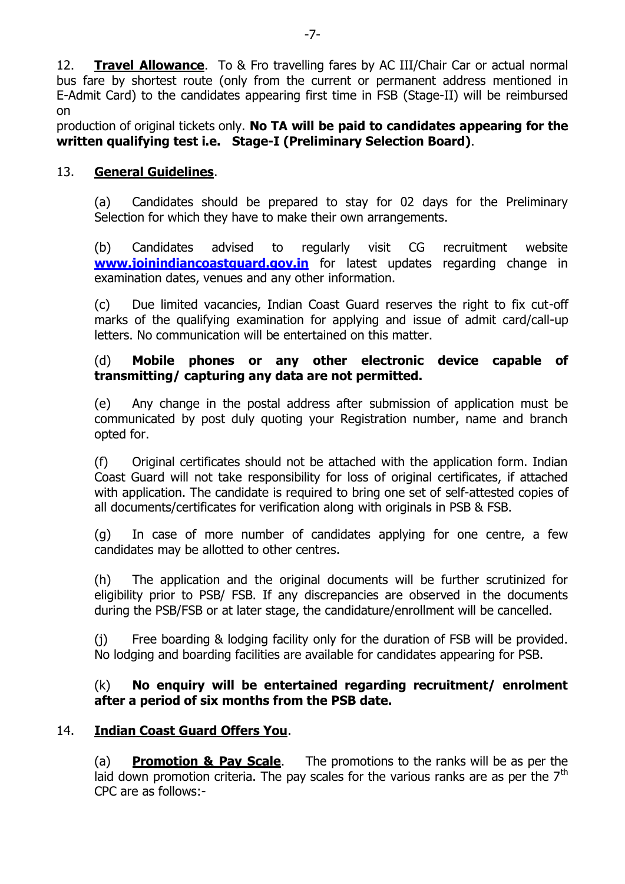12. **Travel Allowance**. To & Fro travelling fares by AC III/Chair Car or actual normal bus fare by shortest route (only from the current or permanent address mentioned in E-Admit Card) to the candidates appearing first time in FSB (Stage-II) will be reimbursed on

production of original tickets only. **No TA will be paid to candidates appearing for the written qualifying test i.e. Stage-I (Preliminary Selection Board)**.

## 13. **General Guidelines**.

(a) Candidates should be prepared to stay for 02 days for the Preliminary Selection for which they have to make their own arrangements.

(b) Candidates advised to regularly visit CG recruitment website **[www.joinindiancoastguard.gov.in](http://www.joinindiancoastguard.gov.in/)** for latest updates regarding change in examination dates, venues and any other information.

(c) Due limited vacancies, Indian Coast Guard reserves the right to fix cut-off marks of the qualifying examination for applying and issue of admit card/call-up letters. No communication will be entertained on this matter.

## (d) **Mobile phones or any other electronic device capable of transmitting/ capturing any data are not permitted.**

(e) Any change in the postal address after submission of application must be communicated by post duly quoting your Registration number, name and branch opted for.

(f) Original certificates should not be attached with the application form. Indian Coast Guard will not take responsibility for loss of original certificates, if attached with application. The candidate is required to bring one set of self-attested copies of all documents/certificates for verification along with originals in PSB & FSB.

(g) In case of more number of candidates applying for one centre, a few candidates may be allotted to other centres.

(h) The application and the original documents will be further scrutinized for eligibility prior to PSB/ FSB. If any discrepancies are observed in the documents during the PSB/FSB or at later stage, the candidature/enrollment will be cancelled.

(j) Free boarding & lodging facility only for the duration of FSB will be provided. No lodging and boarding facilities are available for candidates appearing for PSB.

(k) **No enquiry will be entertained regarding recruitment/ enrolment after a period of six months from the PSB date.**

# 14. **Indian Coast Guard Offers You**.

(a) **Promotion & Pay Scale**.The promotions to the ranks will be as per the laid down promotion criteria. The pay scales for the various ranks are as per the  $7<sup>th</sup>$ CPC are as follows:-